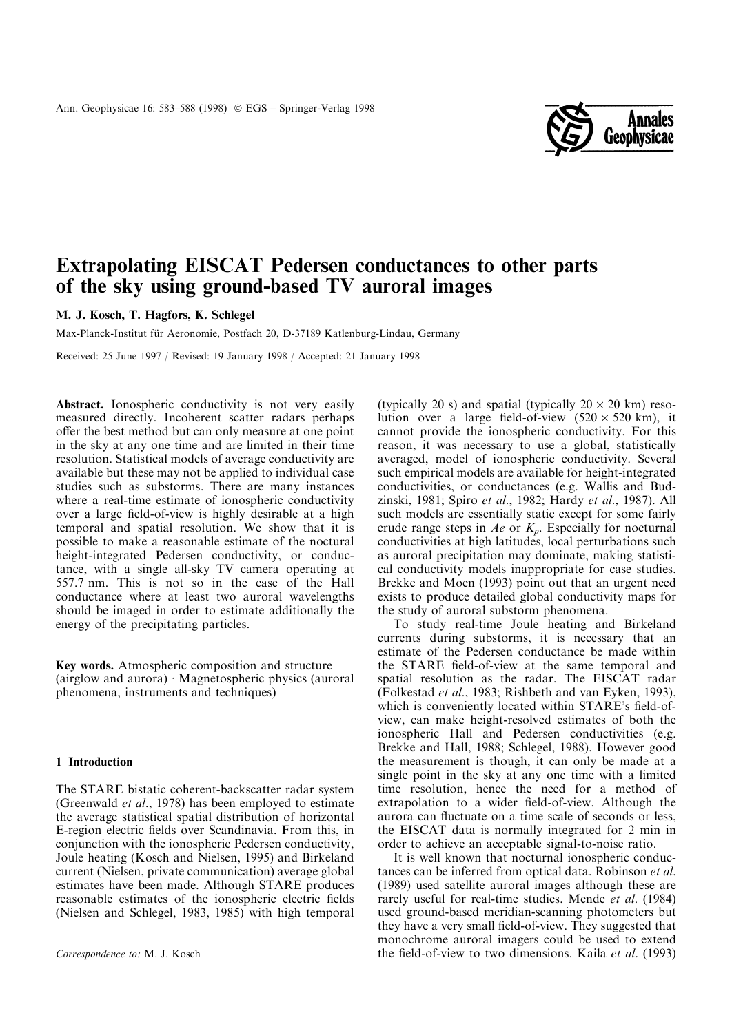

# Extrapolating EISCAT Pedersen conductances to other parts of the sky using ground-based TV auroral images

M. J. Kosch, T. Hagfors, K. Schlegel

Max-Planck-Institut für Aeronomie, Postfach 20, D-37189 Katlenburg-Lindau, Germany

Received: 25 June 1997 / Revised: 19 January 1998 / Accepted: 21 January 1998

Abstract. Ionospheric conductivity is not very easily measured directly. Incoherent scatter radars perhaps offer the best method but can only measure at one point in the sky at any one time and are limited in their time resolution. Statistical models of average conductivity are available but these may not be applied to individual case studies such as substorms. There are many instances where a real-time estimate of ionospheric conductivity over a large field-of-view is highly desirable at a high temporal and spatial resolution. We show that it is possible to make a reasonable estimate of the noctural height-integrated Pedersen conductivity, or conductance, with a single all-sky TV camera operating at 557.7 nm. This is not so in the case of the Hall conductance where at least two auroral wavelengths should be imaged in order to estimate additionally the energy of the precipitating particles.

Key words. Atmospheric composition and structure (airglow and aurora)  $\cdot$  Magnetospheric physics (auroral phenomena, instruments and techniques)

## 1 Introduction

The STARE bistatic coherent-backscatter radar system (Greenwald et al., 1978) has been employed to estimate the average statistical spatial distribution of horizontal E-region electric fields over Scandinavia. From this, in conjunction with the ionospheric Pedersen conductivity, Joule heating (Kosch and Nielsen, 1995) and Birkeland current (Nielsen, private communication) average global estimates have been made. Although STARE produces reasonable estimates of the ionospheric electric fields (Nielsen and Schlegel, 1983, 1985) with high temporal

(typically 20 s) and spatial (typically  $20 \times 20$  km) resolution over a large field-of-view  $(520 \times 520 \text{ km})$ , it cannot provide the ionospheric conductivity. For this reason, it was necessary to use a global, statistically averaged, model of ionospheric conductivity. Several such empirical models are available for height-integrated conductivities, or conductances (e.g. Wallis and Budzinski, 1981; Spiro et al., 1982; Hardy et al., 1987). All such models are essentially static except for some fairly crude range steps in  $Ae$  or  $K_p$ . Especially for nocturnal conductivities at high latitudes, local perturbations such as auroral precipitation may dominate, making statistical conductivity models inappropriate for case studies. Brekke and Moen (1993) point out that an urgent need exists to produce detailed global conductivity maps for the study of auroral substorm phenomena.

To study real-time Joule heating and Birkeland currents during substorms, it is necessary that an estimate of the Pedersen conductance be made within the STARE field-of-view at the same temporal and spatial resolution as the radar. The EISCAT radar (Folkestad et al., 1983; Rishbeth and van Eyken, 1993), which is conveniently located within STARE's field-ofview, can make height-resolved estimates of both the ionospheric Hall and Pedersen conductivities (e.g. Brekke and Hall, 1988; Schlegel, 1988). However good the measurement is though, it can only be made at a single point in the sky at any one time with a limited time resolution, hence the need for a method of extrapolation to a wider field-of-view. Although the aurora can fluctuate on a time scale of seconds or less, the EISCAT data is normally integrated for 2 min in order to achieve an acceptable signal-to-noise ratio.

It is well known that nocturnal ionospheric conductances can be inferred from optical data. Robinson et al. (1989) used satellite auroral images although these are rarely useful for real-time studies. Mende et al. (1984) used ground-based meridian-scanning photometers but they have a very small field-of-view. They suggested that monochrome auroral imagers could be used to extend Correspondence to: M. J. Kosch the field-of-view to two dimensions. Kaila et al. (1993)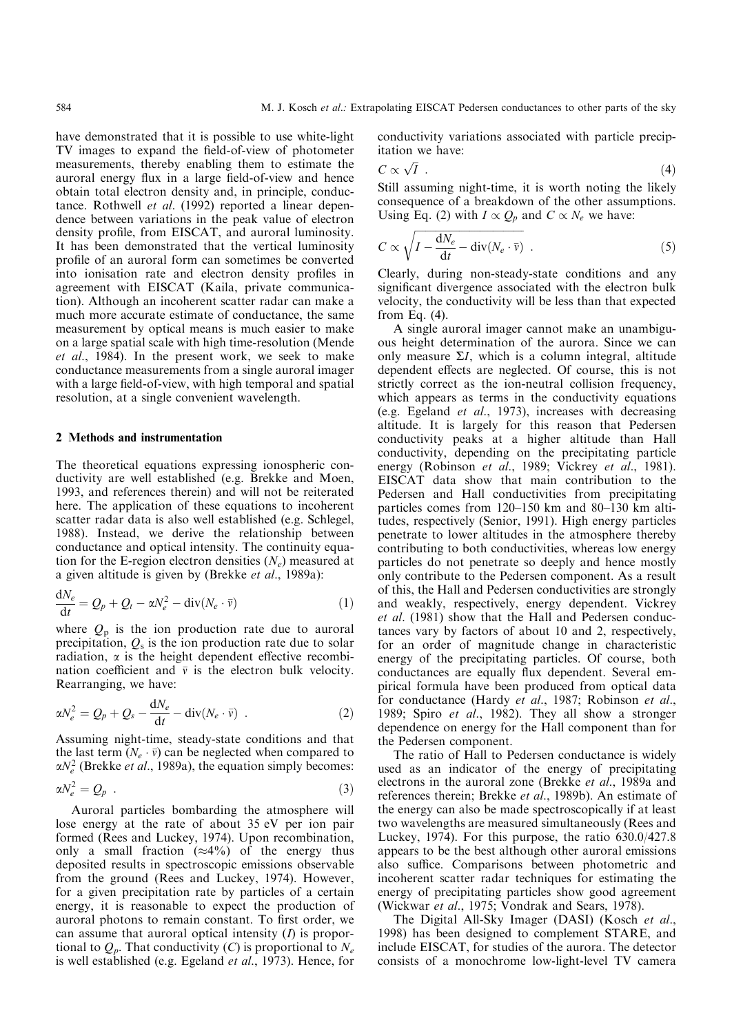have demonstrated that it is possible to use white-light TV images to expand the field-of-view of photometer measurements, thereby enabling them to estimate the auroral energy flux in a large field-of-view and hence obtain total electron density and, in principle, conductance. Rothwell et al. (1992) reported a linear dependence between variations in the peak value of electron density profile, from EISCAT, and auroral luminosity. It has been demonstrated that the vertical luminosity profile of an auroral form can sometimes be converted into ionisation rate and electron density profiles in agreement with EISCAT (Kaila, private communication). Although an incoherent scatter radar can make a much more accurate estimate of conductance, the same measurement by optical means is much easier to make on a large spatial scale with high time-resolution (Mende et al., 1984). In the present work, we seek to make conductance measurements from a single auroral imager with a large field-of-view, with high temporal and spatial resolution, at a single convenient wavelength.

### 2 Methods and instrumentation

The theoretical equations expressing ionospheric conductivity are well established (e.g. Brekke and Moen, 1993, and references therein) and will not be reiterated here. The application of these equations to incoherent scatter radar data is also well established (e.g. Schlegel, 1988). Instead, we derive the relationship between conductance and optical intensity. The continuity equation for the E-region electron densities  $(N_e)$  measured at a given altitude is given by (Brekke et al., 1989a):

$$
\frac{dN_e}{dt} = Q_p + Q_t - \alpha N_e^2 - \text{div}(N_e \cdot \bar{v})
$$
\n(1)

where  $Q_p$  is the ion production rate due to auroral precipitation,  $Q_s$  is the ion production rate due to solar radiation,  $\alpha$  is the height dependent effective recombination coefficient and  $\bar{v}$  is the electron bulk velocity. Rearranging, we have:

$$
\alpha N_e^2 = Q_p + Q_s - \frac{\mathrm{d}N_e}{\mathrm{d}t} - \mathrm{div}(N_e \cdot \bar{\mathbf{v}}) \quad . \tag{2}
$$

Assuming night-time, steady-state conditions and that the last term  $(N_e \cdot \bar{v})$  can be neglected when compared to  $\alpha N_e^2$  (Brekke *et al.*, 1989a), the equation simply becomes:

$$
\alpha N_e^2 = Q_p \tag{3}
$$

Auroral particles bombarding the atmosphere will lose energy at the rate of about 35 eV per ion pair formed (Rees and Luckey, 1974). Upon recombination, only a small fraction  $(\approx 4\%)$  of the energy thus deposited results in spectroscopic emissions observable from the ground (Rees and Luckey, 1974). However, for a given precipitation rate by particles of a certain energy, it is reasonable to expect the production of auroral photons to remain constant. To first order, we can assume that auroral optical intensity  $(I)$  is proportional to  $Q_p$ . That conductivity (C) is proportional to  $N_e$ is well established (e.g. Egeland et al., 1973). Hence, for

conductivity variations associated with particle precipitation we have:

$$
C \propto \sqrt{I} \tag{4}
$$

Still assuming night-time, it is worth noting the likely consequence of a breakdown of the other assumptions. Using Eq. (2) with  $I \propto Q_p$  and  $C \propto N_e$  we have:

$$
C \propto \sqrt{I - \frac{dN_e}{dt} - div(N_e \cdot \bar{v})} \tag{5}
$$

Clearly, during non-steady-state conditions and any significant divergence associated with the electron bulk velocity, the conductivity will be less than that expected from Eq. (4).

A single auroral imager cannot make an unambiguous height determination of the aurora. Since we can only measure  $\Sigma I$ , which is a column integral, altitude dependent effects are neglected. Of course, this is not strictly correct as the ion-neutral collision frequency, which appears as terms in the conductivity equations (e.g. Egeland et al., 1973), increases with decreasing altitude. It is largely for this reason that Pedersen conductivity peaks at a higher altitude than Hall conductivity, depending on the precipitating particle energy (Robinson et al., 1989; Vickrey et al., 1981). EISCAT data show that main contribution to the Pedersen and Hall conductivities from precipitating particles comes from  $120-150$  km and  $80-130$  km altitudes, respectively (Senior, 1991). High energy particles penetrate to lower altitudes in the atmosphere thereby contributing to both conductivities, whereas low energy particles do not penetrate so deeply and hence mostly only contribute to the Pedersen component. As a result of this, the Hall and Pedersen conductivities are strongly and weakly, respectively, energy dependent. Vickrey et al. (1981) show that the Hall and Pedersen conductances vary by factors of about 10 and 2, respectively, for an order of magnitude change in characteristic energy of the precipitating particles. Of course, both conductances are equally flux dependent. Several empirical formula have been produced from optical data for conductance (Hardy et al., 1987; Robinson et al., 1989; Spiro et al., 1982). They all show a stronger dependence on energy for the Hall component than for the Pedersen component.

The ratio of Hall to Pedersen conductance is widely used as an indicator of the energy of precipitating electrons in the auroral zone (Brekke et al., 1989a and references therein; Brekke et al., 1989b). An estimate of the energy can also be made spectroscopically if at least two wavelengths are measured simultaneously (Rees and Luckey, 1974). For this purpose, the ratio 630.0/427.8 appears to be the best although other auroral emissions also suffice. Comparisons between photometric and incoherent scatter radar techniques for estimating the energy of precipitating particles show good agreement (Wickwar et al., 1975; Vondrak and Sears, 1978).

The Digital All-Sky Imager (DASI) (Kosch et al., 1998) has been designed to complement STARE, and include EISCAT, for studies of the aurora. The detector consists of a monochrome low-light-level TV camera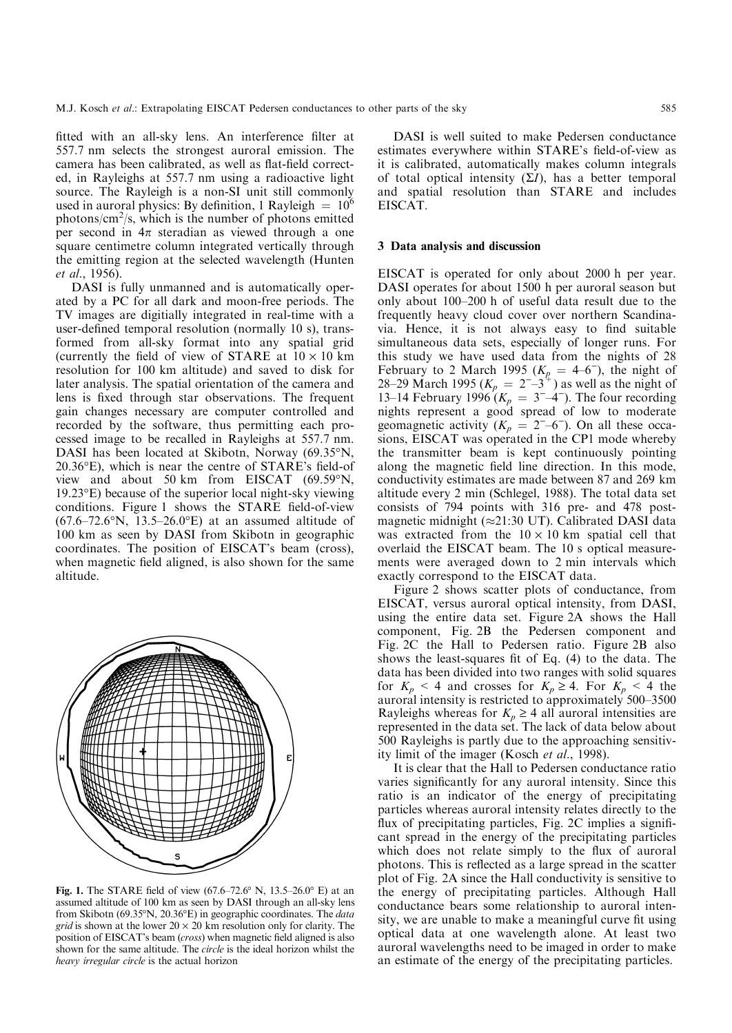fitted with an all-sky lens. An interference filter at 557.7 nm selects the strongest auroral emission. The camera has been calibrated, as well as flat-field corrected, in Rayleighs at 557.7 nm using a radioactive light source. The Rayleigh is a non-SI unit still commonly used in auroral physics: By definition, 1 Rayleigh  $= 10^6$ photons/ $\text{cm}^2$ /s, which is the number of photons emitted per second in  $4\pi$  steradian as viewed through a one square centimetre column integrated vertically through the emitting region at the selected wavelength (Hunten et al., 1956).

DASI is fully unmanned and is automatically operated by a PC for all dark and moon-free periods. The TV images are digitially integrated in real-time with a user-defined temporal resolution (normally 10 s), transformed from all-sky format into any spatial grid (currently the field of view of STARE at  $10 \times 10$  km resolution for 100 km altitude) and saved to disk for later analysis. The spatial orientation of the camera and lens is fixed through star observations. The frequent gain changes necessary are computer controlled and recorded by the software, thus permitting each processed image to be recalled in Rayleighs at 557.7 nm. DASI has been located at Skibotn, Norway (69.35°N,  $20.36^{\circ}$ E), which is near the centre of STARE's field-of view and about 50 km from EISCAT (69.59°N, 19.23°E) because of the superior local night-sky viewing conditions. Figure 1 shows the STARE field-of-view  $(67.6-72.6°N, 13.5-26.0°E)$  at an assumed altitude of 100 km as seen by DASI from Skibotn in geographic coordinates. The position of EISCAT's beam (cross), when magnetic field aligned, is also shown for the same altitude.



Fig. 1. The STARE field of view (67.6–72.6° N, 13.5–26.0° E) at an assumed altitude of 100 km as seen by DASI through an all-sky lens from Skibotn (69.35°N, 20.36°E) in geographic coordinates. The data grid is shown at the lower  $20 \times 20$  km resolution only for clarity. The position of EISCAT's beam (cross) when magnetic field aligned is also shown for the same altitude. The circle is the ideal horizon whilst the heavy irregular circle is the actual horizon

DASI is well suited to make Pedersen conductance estimates everywhere within STARE's field-of-view as it is calibrated, automatically makes column integrals of total optical intensity  $(\Sigma I)$ , has a better temporal and spatial resolution than STARE and includes EISCAT.

#### 3 Data analysis and discussion

EISCAT is operated for only about 2000 h per year. DASI operates for about 1500 h per auroral season but only about 100-200 h of useful data result due to the frequently heavy cloud cover over northern Scandinavia. Hence, it is not always easy to find suitable simultaneous data sets, especially of longer runs. For this study we have used data from the nights of 28 February to 2 March 1995  $(K_p = 4-6^{\circ})$ , the night of 28–29 March 1995  $(K_p = 2^{-3})^4$  as well as the night of 13–14 February 1996  $(K_p = 3^{\{-4\}})$ . The four recording nights represent a good spread of low to moderate geomagnetic activity  $(K_p = 2<sup>-6</sup>)$ . On all these occasions, EISCAT was operated in the CP1 mode whereby the transmitter beam is kept continuously pointing along the magnetic field line direction. In this mode, conductivity estimates are made between 87 and 269 km altitude every 2 min (Schlegel, 1988). The total data set consists of 794 points with 316 pre- and 478 postmagnetic midnight ( $\approx$ 21:30 UT). Calibrated DASI data was extracted from the  $10 \times 10$  km spatial cell that overlaid the EISCAT beam. The 10 s optical measurements were averaged down to 2 min intervals which exactly correspond to the EISCAT data.

Figure 2 shows scatter plots of conductance, from EISCAT, versus auroral optical intensity, from DASI, using the entire data set. Figure 2A shows the Hall component, Fig. 2B the Pedersen component and Fig. 2C the Hall to Pedersen ratio. Figure 2B also shows the least-squares fit of Eq.  $(4)$  to the data. The data has been divided into two ranges with solid squares for  $K_p < 4$  and crosses for  $K_p \geq 4$ . For  $K_p < 4$  the auroral intensity is restricted to approximately 500-3500 Rayleighs whereas for  $K_p \geq 4$  all auroral intensities are represented in the data set. The lack of data below about 500 Rayleighs is partly due to the approaching sensitivity limit of the imager (Kosch et al., 1998).

It is clear that the Hall to Pedersen conductance ratio varies significantly for any auroral intensity. Since this ratio is an indicator of the energy of precipitating particles whereas auroral intensity relates directly to the flux of precipitating particles, Fig. 2C implies a significant spread in the energy of the precipitating particles which does not relate simply to the flux of auroral photons. This is reflected as a large spread in the scatter plot of Fig. 2A since the Hall conductivity is sensitive to the energy of precipitating particles. Although Hall conductance bears some relationship to auroral intensity, we are unable to make a meaningful curve fit using optical data at one wavelength alone. At least two auroral wavelengths need to be imaged in order to make an estimate of the energy of the precipitating particles.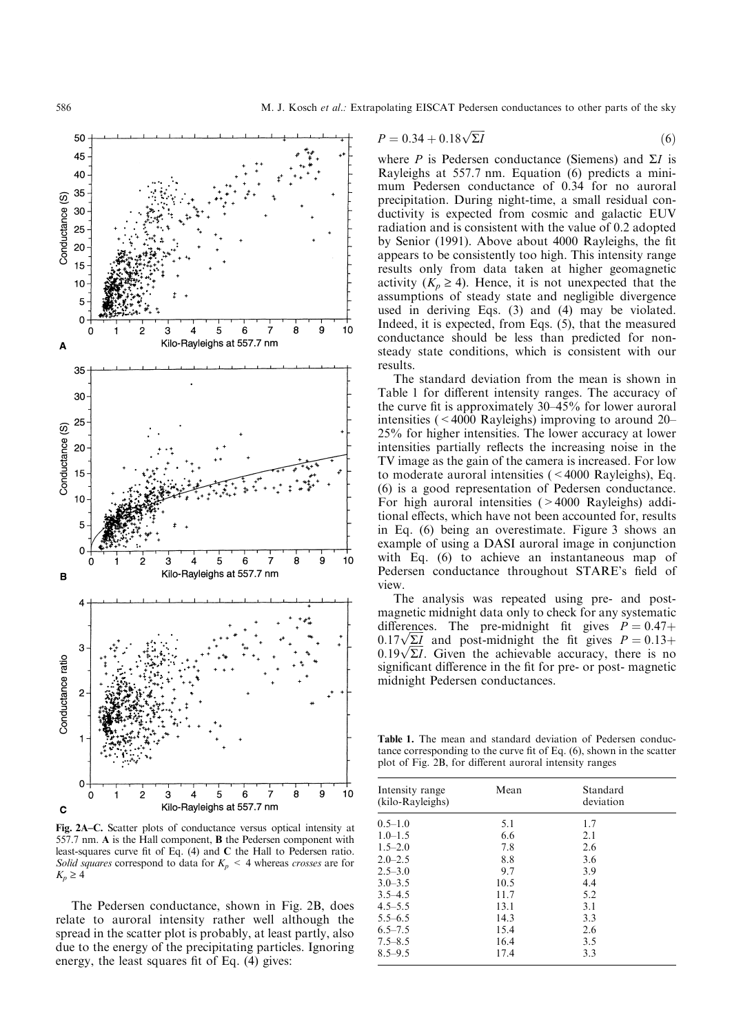

Fig. 2A-C. Scatter plots of conductance versus optical intensity at 557.7 nm. A is the Hall component, B the Pedersen component with least-squares curve fit of Eq. (4) and C the Hall to Pedersen ratio. Solid squares correspond to data for  $K_p < 4$  whereas crosses are for  $K_p \geq 4$ 

The Pedersen conductance, shown in Fig. 2B, does relate to auroral intensity rather well although the spread in the scatter plot is probably, at least partly, also due to the energy of the precipitating particles. Ignoring energy, the least squares fit of Eq.  $(4)$  gives:

$$
P = 0.34 + 0.18\sqrt{\Sigma I}
$$
 (6)

where P is Pedersen conductance (Siemens) and  $\Sigma I$  is Rayleighs at 557.7 nm. Equation (6) predicts a minimum Pedersen conductance of 0.34 for no auroral precipitation. During night-time, a small residual conductivity is expected from cosmic and galactic EUV radiation and is consistent with the value of 0.2 adopted by Senior (1991). Above about 4000 Rayleighs, the fit appears to be consistently too high. This intensity range results only from data taken at higher geomagnetic activity  $(K_p \geq 4)$ . Hence, it is not unexpected that the assumptions of steady state and negligible divergence used in deriving Eqs. (3) and (4) may be violated. Indeed, it is expected, from Eqs. (5), that the measured conductance should be less than predicted for nonsteady state conditions, which is consistent with our results.

The standard deviation from the mean is shown in Table 1 for different intensity ranges. The accuracy of the curve fit is approximately  $30-45%$  for lower auroral intensities ( $\leq 4000$  Rayleighs) improving to around 20 $-$ 25% for higher intensities. The lower accuracy at lower intensities partially reflects the increasing noise in the TV image as the gain of the camera is increased. For low to moderate auroral intensities (<4000 Rayleighs), Eq. (6) is a good representation of Pedersen conductance. For high auroral intensities (>4000 Rayleighs) additional effects, which have not been accounted for, results in Eq. (6) being an overestimate. Figure 3 shows an example of using a DASI auroral image in conjunction with Eq. (6) to achieve an instantaneous map of Pedersen conductance throughout STARE's field of view.

The analysis was repeated using pre- and postmagnetic midnight data only to check for any systematic differences. The pre-midnight fit gives  $P = 0.47 +$ 0.17 $\sqrt{\Sigma I}$  and post-midnight the fit gives  $P = 0.13+0.17\sqrt{\Sigma I}$  $\frac{6.17 \sqrt{2L}}{0.19 \sqrt{2L}}$ . Given the achievable accuracy, there is no significant difference in the fit for pre- or post- magnetic midnight Pedersen conductances.

Table 1. The mean and standard deviation of Pedersen conductance corresponding to the curve fit of Eq.  $(6)$ , shown in the scatter plot of Fig. 2B, for different auroral intensity ranges

| Intensity range<br>(kilo-Rayleighs) | Mean | Standard<br>deviation |  |
|-------------------------------------|------|-----------------------|--|
| $0.5 - 1.0$                         | 5.1  | 1.7                   |  |
| $1.0 - 1.5$                         | 6.6  | 2.1                   |  |
| $1.5 - 2.0$                         | 7.8  | 2.6                   |  |
| $2.0 - 2.5$                         | 8.8  | 3.6                   |  |
| $2.5 - 3.0$                         | 9.7  | 3.9                   |  |
| $3.0 - 3.5$                         | 10.5 | 4.4                   |  |
| $3.5 - 4.5$                         | 11.7 | 5.2                   |  |
| $4.5 - 5.5$                         | 13.1 | 3.1                   |  |
| $5.5 - 6.5$                         | 14.3 | 3.3                   |  |
| $6.5 - 7.5$                         | 15.4 | 2.6                   |  |
| $7.5 - 8.5$                         | 16.4 | 3.5                   |  |
| $8.5 - 9.5$                         | 17.4 | 3.3                   |  |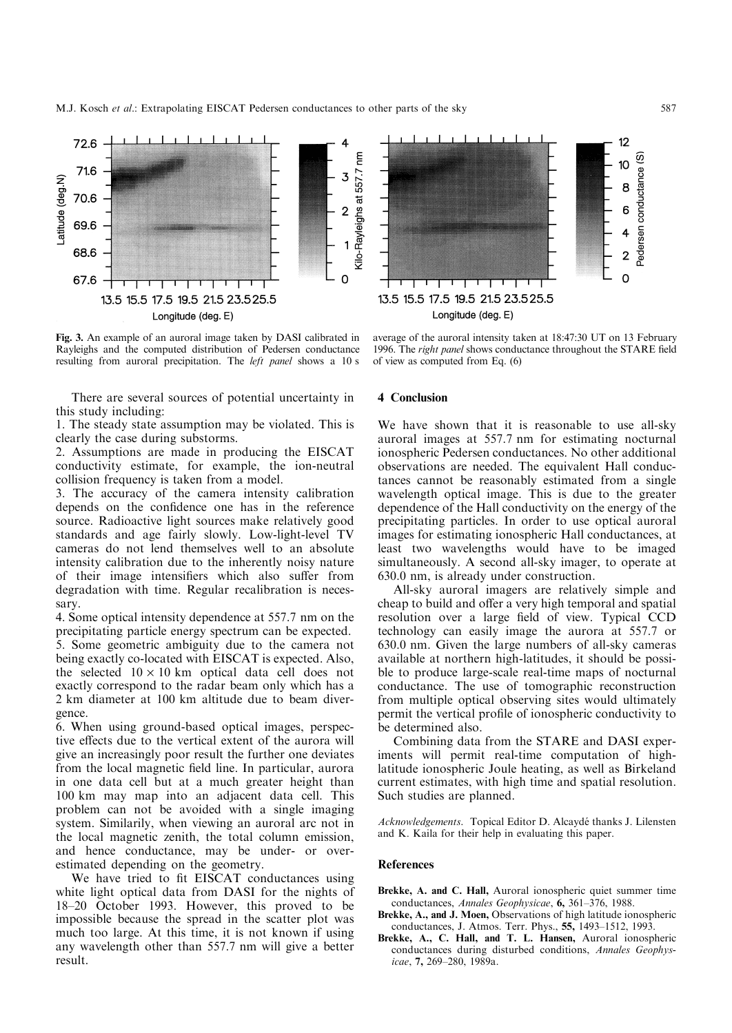M.J. Kosch *et al.*: Extrapolating EISCAT Pedersen conductances to other parts of the sky 587



Fig. 3. An example of an auroral image taken by DASI calibrated in Rayleighs and the computed distribution of Pedersen conductance resulting from auroral precipitation. The left panel shows a 10 s

There are several sources of potential uncertainty in this study including:

1. The steady state assumption may be violated. This is clearly the case during substorms.

2. Assumptions are made in producing the EISCAT conductivity estimate, for example, the ion-neutral collision frequency is taken from a model.

3. The accuracy of the camera intensity calibration depends on the confidence one has in the reference source. Radioactive light sources make relatively good standards and age fairly slowly. Low-light-level TV cameras do not lend themselves well to an absolute intensity calibration due to the inherently noisy nature of their image intensifiers which also suffer from degradation with time. Regular recalibration is necessary.

4. Some optical intensity dependence at 557.7 nm on the precipitating particle energy spectrum can be expected.

5. Some geometric ambiguity due to the camera not being exactly co-located with EISCAT is expected. Also, the selected  $10 \times 10$  km optical data cell does not exactly correspond to the radar beam only which has a 2 km diameter at 100 km altitude due to beam divergence.

6. When using ground-based optical images, perspective effects due to the vertical extent of the aurora will give an increasingly poor result the further one deviates from the local magnetic field line. In particular, aurora in one data cell but at a much greater height than 100 km may map into an adjacent data cell. This problem can not be avoided with a single imaging system. Similarily, when viewing an auroral arc not in the local magnetic zenith, the total column emission, and hence conductance, may be under- or overestimated depending on the geometry.

We have tried to fit EISCAT conductances using white light optical data from DASI for the nights of 18±20 October 1993. However, this proved to be impossible because the spread in the scatter plot was much too large. At this time, it is not known if using any wavelength other than 557.7 nm will give a better result.



average of the auroral intensity taken at 18:47:30 UT on 13 February 1996. The right panel shows conductance throughout the STARE field of view as computed from Eq. (6)

#### 4 Conclusion

We have shown that it is reasonable to use all-sky auroral images at 557.7 nm for estimating nocturnal ionospheric Pedersen conductances. No other additional observations are needed. The equivalent Hall conductances cannot be reasonably estimated from a single wavelength optical image. This is due to the greater dependence of the Hall conductivity on the energy of the precipitating particles. In order to use optical auroral images for estimating ionospheric Hall conductances, at least two wavelengths would have to be imaged simultaneously. A second all-sky imager, to operate at 630.0 nm, is already under construction.

All-sky auroral imagers are relatively simple and cheap to build and offer a very high temporal and spatial resolution over a large field of view. Typical CCD technology can easily image the aurora at 557.7 or 630.0 nm. Given the large numbers of all-sky cameras available at northern high-latitudes, it should be possible to produce large-scale real-time maps of nocturnal conductance. The use of tomographic reconstruction from multiple optical observing sites would ultimately permit the vertical profile of ionospheric conductivity to be determined also.

Combining data from the STARE and DASI experiments will permit real-time computation of highlatitude ionospheric Joule heating, as well as Birkeland current estimates, with high time and spatial resolution. Such studies are planned.

Acknowledgements. Topical Editor D. Alcaydé thanks J. Lilensten and K. Kaila for their help in evaluating this paper.

#### References

- Brekke, A. and C. Hall, Auroral ionospheric quiet summer time conductances, Annales Geophysicae,  $6, 361-376, 1988$ .
- Brekke, A., and J. Moen, Observations of high latitude ionospheric conductances, J. Atmos. Terr. Phys., 55, 1493-1512, 1993.
- Brekke, A., C. Hall, and T. L. Hansen, Auroral ionospheric conductances during disturbed conditions, Annales Geophysicae, 7, 269-280, 1989a.